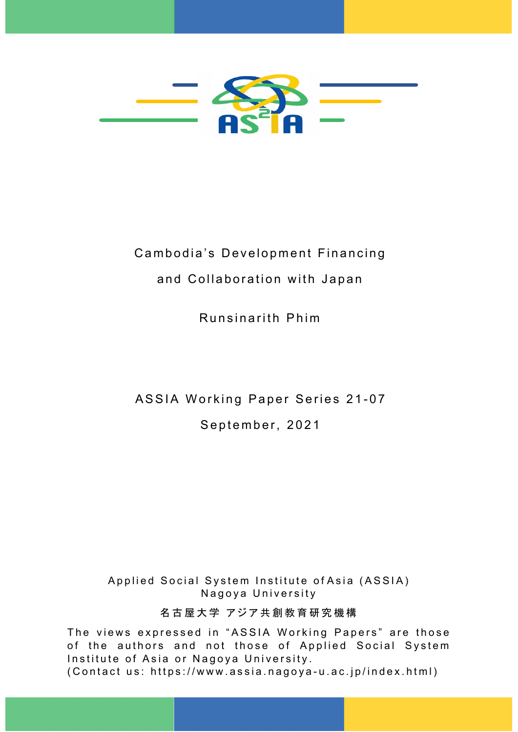

# Cambodia's Development Financing and Collaboration with Japan

Runsinarith Phim

ASSIA Working Paper Series 21-07

September, 202 1

Applied Social System Institute of Asia (ASSIA) Nagoya University

名古屋大学 アジア共創教育研究機構

The views expressed in " ASSIA Working Papers" are those of the authors and not those of Applied Social System Institute of Asia or Nagoya University . (Contact us: https://www.assia.nagoya - u.ac.jp/index.html )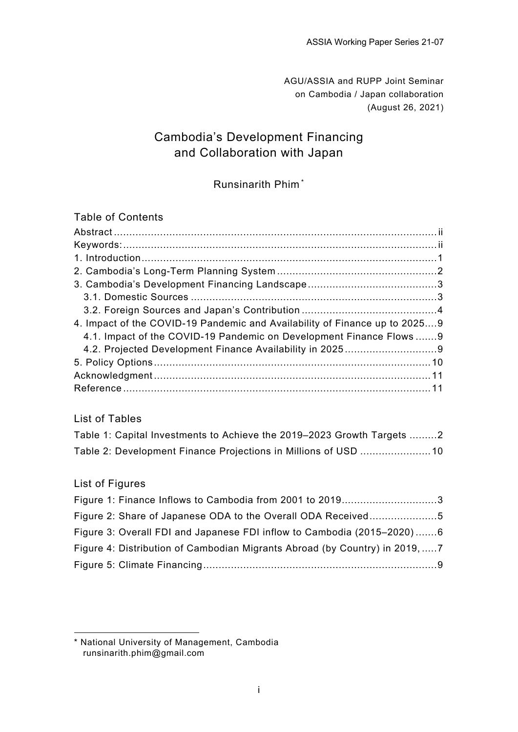AGU/ASSIA and RUPP Joint Seminar on Cambodia / Japan collaboration (August 26, 2021)

## Cambodia's Development Financing and Collaboration with Japan

## Runsinarith Phim [\\*](#page-1-0)

| <b>Table of Contents</b>                                                   |  |
|----------------------------------------------------------------------------|--|
|                                                                            |  |
|                                                                            |  |
|                                                                            |  |
|                                                                            |  |
|                                                                            |  |
|                                                                            |  |
|                                                                            |  |
| 4. Impact of the COVID-19 Pandemic and Availability of Finance up to 20259 |  |
| 4.1. Impact of the COVID-19 Pandemic on Development Finance Flows  9       |  |
|                                                                            |  |
|                                                                            |  |
|                                                                            |  |
|                                                                            |  |

#### List of Tables

|  | Table 1: Capital Investments to Achieve the 2019–2023 Growth Targets 2 |  |  |  |
|--|------------------------------------------------------------------------|--|--|--|
|  | Table 2: Development Finance Projections in Millions of USD 10         |  |  |  |

#### List of Figures

| Figure 1: Finance Inflows to Cambodia from 2001 to 20193                    |  |
|-----------------------------------------------------------------------------|--|
| Figure 2: Share of Japanese ODA to the Overall ODA Received5                |  |
| Figure 3: Overall FDI and Japanese FDI inflow to Cambodia (2015–2020)6      |  |
| Figure 4: Distribution of Cambodian Migrants Abroad (by Country) in 2019, 7 |  |
|                                                                             |  |

<span id="page-1-0"></span><sup>\*</sup> National University of Management, Cambodia runsinarith.phim@gmail.com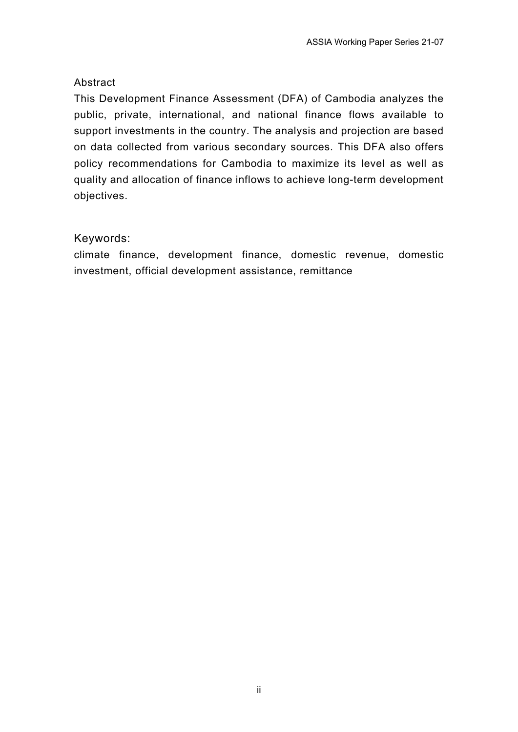## <span id="page-2-0"></span>Abstract

This Development Finance Assessment (DFA) of Cambodia analyzes the public, private, international, and national finance flows available to support investments in the country. The analysis and projection are based on data collected from various secondary sources. This DFA also offers policy recommendations for Cambodia to maximize its level as well as quality and allocation of finance inflows to achieve long-term development objectives.

## <span id="page-2-1"></span>Keywords:

climate finance, development finance, domestic revenue, domestic investment, official development assistance, remittance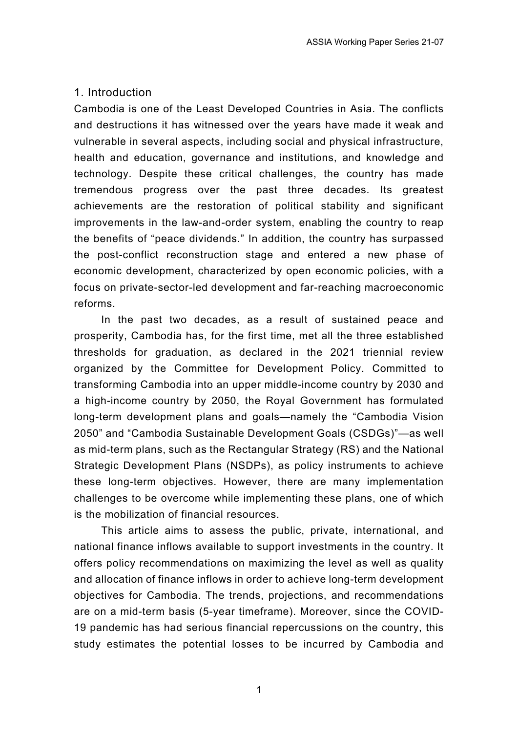## <span id="page-3-0"></span>1. Introduction

Cambodia is one of the Least Developed Countries in Asia. The conflicts and destructions it has witnessed over the years have made it weak and vulnerable in several aspects, including social and physical infrastructure, health and education, governance and institutions, and knowledge and technology. Despite these critical challenges, the country has made tremendous progress over the past three decades. Its greatest achievements are the restoration of political stability and significant improvements in the law-and-order system, enabling the country to reap the benefits of "peace dividends." In addition, the country has surpassed the post-conflict reconstruction stage and entered a new phase of economic development, characterized by open economic policies, with a focus on private-sector-led development and far-reaching macroeconomic reforms.

In the past two decades, as a result of sustained peace and prosperity, Cambodia has, for the first time, met all the three established thresholds for graduation, as declared in the 2021 triennial review organized by the Committee for Development Policy. Committed to transforming Cambodia into an upper middle-income country by 2030 and a high-income country by 2050, the Royal Government has formulated long-term development plans and goals—namely the "Cambodia Vision 2050" and "Cambodia Sustainable Development Goals (CSDGs)"—as well as mid-term plans, such as the Rectangular Strategy (RS) and the National Strategic Development Plans (NSDPs), as policy instruments to achieve these long-term objectives. However, there are many implementation challenges to be overcome while implementing these plans, one of which is the mobilization of financial resources.

This article aims to assess the public, private, international, and national finance inflows available to support investments in the country. It offers policy recommendations on maximizing the level as well as quality and allocation of finance inflows in order to achieve long-term development objectives for Cambodia. The trends, projections, and recommendations are on a mid-term basis (5-year timeframe). Moreover, since the COVID-19 pandemic has had serious financial repercussions on the country, this study estimates the potential losses to be incurred by Cambodia and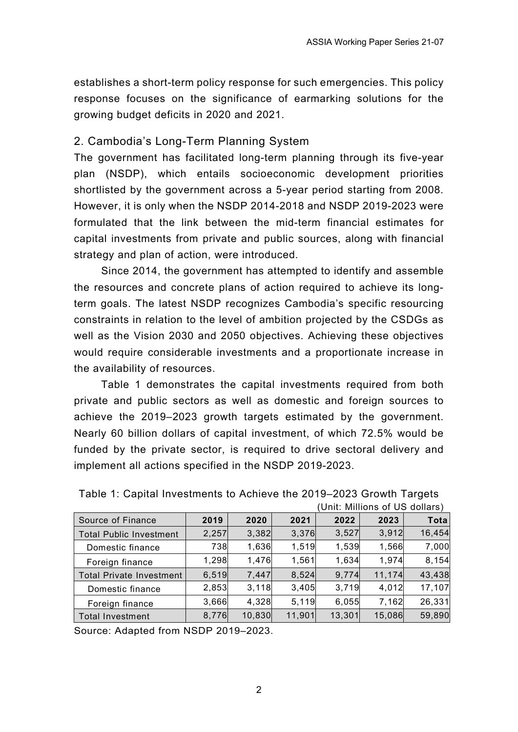establishes a short-term policy response for such emergencies. This policy response focuses on the significance of earmarking solutions for the growing budget deficits in 2020 and 2021.

## <span id="page-4-0"></span>2. Cambodia's Long-Term Planning System

The government has facilitated long-term planning through its five-year plan (NSDP), which entails socioeconomic development priorities shortlisted by the government across a 5-year period starting from 2008. However, it is only when the NSDP 2014-2018 and NSDP 2019-2023 were formulated that the link between the mid-term financial estimates for capital investments from private and public sources, along with financial strategy and plan of action, were introduced.

Since 2014, the government has attempted to identify and assemble the resources and concrete plans of action required to achieve its longterm goals. The latest NSDP recognizes Cambodia's specific resourcing constraints in relation to the level of ambition projected by the CSDGs as well as the Vision 2030 and 2050 objectives. Achieving these objectives would require considerable investments and a proportionate increase in the availability of resources.

Table 1 demonstrates the capital investments required from both private and public sectors as well as domestic and foreign sources to achieve the 2019–2023 growth targets estimated by the government. Nearly 60 billion dollars of capital investment, of which 72.5% would be funded by the private sector, is required to drive sectoral delivery and implement all actions specified in the NSDP 2019-2023.

|                                 |       |        |        |        | (Unit: Millions of US dollars) |        |
|---------------------------------|-------|--------|--------|--------|--------------------------------|--------|
| Source of Finance               | 2019  | 2020   | 2021   | 2022   | 2023                           | Tota   |
| <b>Total Public Investment</b>  | 2,257 | 3,382  | 3,376  | 3,527  | 3,912                          | 16,454 |
| Domestic finance                | 738   | 1,636  | 1,519  | 1,539  | 1,566                          | 7,000  |
| Foreign finance                 | 1,298 | 1,476  | 1,561  | 1,634  | 1,974                          | 8,154  |
| <b>Total Private Investment</b> | 6,519 | 7,447  | 8,524  | 9,774  | 11,174                         | 43,438 |
| Domestic finance                | 2,853 | 3,118  | 3,405  | 3,719  | 4,012                          | 17,107 |
| Foreign finance                 | 3,666 | 4,328  | 5.119  | 6,055  | 7,162                          | 26,331 |
| <b>Total Investment</b>         | 8,776 | 10,830 | 11,901 | 13,301 | 15,086                         | 59,890 |

<span id="page-4-1"></span>Table 1: Capital Investments to Achieve the 2019–2023 Growth Targets

Source: Adapted from NSDP 2019–2023.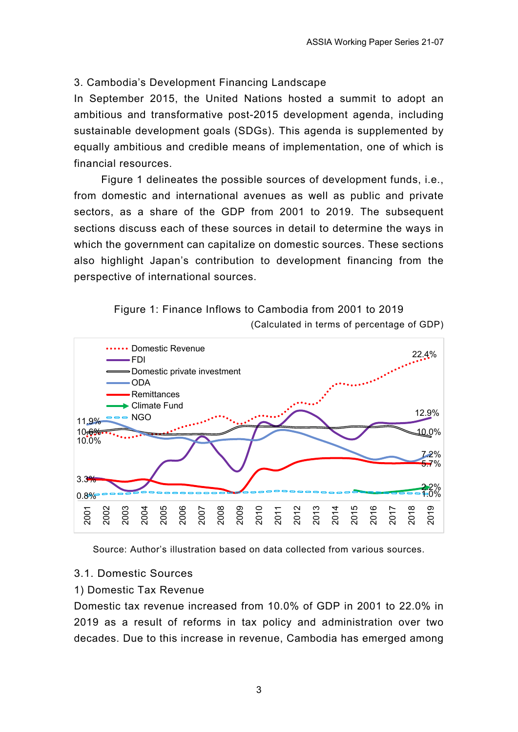## <span id="page-5-0"></span>3. Cambodia's Development Financing Landscape

In September 2015, the United Nations hosted a summit to adopt an ambitious and transformative post-2015 development agenda, including sustainable development goals (SDGs). This agenda is supplemented by equally ambitious and credible means of implementation, one of which is financial resources.

Figure 1 delineates the possible sources of development funds, i.e., from domestic and international avenues as well as public and private sectors, as a share of the GDP from 2001 to 2019. The subsequent sections discuss each of these sources in detail to determine the ways in which the government can capitalize on domestic sources. These sections also highlight Japan's contribution to development financing from the perspective of international sources.



<span id="page-5-2"></span>

Source: Author's illustration based on data collected from various sources.

## <span id="page-5-1"></span>3.1. Domestic Sources

#### 1) Domestic Tax Revenue

Domestic tax revenue increased from 10.0% of GDP in 2001 to 22.0% in 2019 as a result of reforms in tax policy and administration over two decades. Due to this increase in revenue, Cambodia has emerged among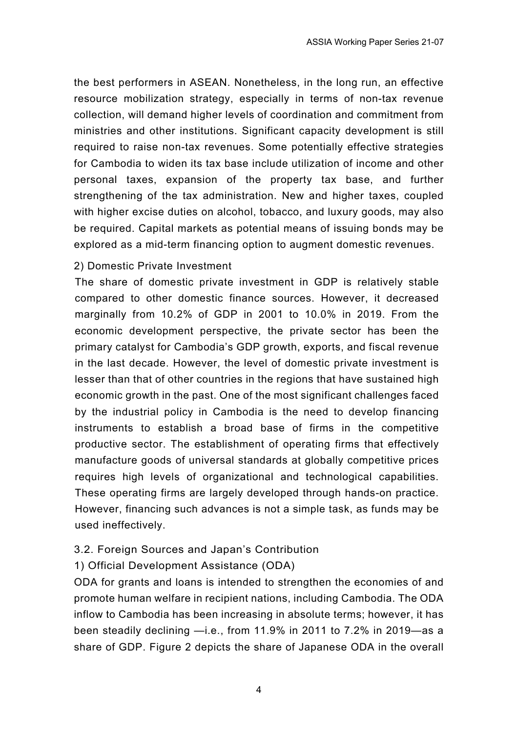the best performers in ASEAN. Nonetheless, in the long run, an effective resource mobilization strategy, especially in terms of non-tax revenue collection, will demand higher levels of coordination and commitment from ministries and other institutions. Significant capacity development is still required to raise non-tax revenues. Some potentially effective strategies for Cambodia to widen its tax base include utilization of income and other personal taxes, expansion of the property tax base, and further strengthening of the tax administration. New and higher taxes, coupled with higher excise duties on alcohol, tobacco, and luxury goods, may also be required. Capital markets as potential means of issuing bonds may be explored as a mid-term financing option to augment domestic revenues.

#### 2) Domestic Private Investment

The share of domestic private investment in GDP is relatively stable compared to other domestic finance sources. However, it decreased marginally from 10.2% of GDP in 2001 to 10.0% in 2019. From the economic development perspective, the private sector has been the primary catalyst for Cambodia's GDP growth, exports, and fiscal revenue in the last decade. However, the level of domestic private investment is lesser than that of other countries in the regions that have sustained high economic growth in the past. One of the most significant challenges faced by the industrial policy in Cambodia is the need to develop financing instruments to establish a broad base of firms in the competitive productive sector. The establishment of operating firms that effectively manufacture goods of universal standards at globally competitive prices requires high levels of organizational and technological capabilities. These operating firms are largely developed through hands-on practice. However, financing such advances is not a simple task, as funds may be used ineffectively.

## <span id="page-6-0"></span>3.2. Foreign Sources and Japan's Contribution

1) Official Development Assistance (ODA)

ODA for grants and loans is intended to strengthen the economies of and promote human welfare in recipient nations, including Cambodia. The ODA inflow to Cambodia has been increasing in absolute terms; however, it has been steadily declining —i.e., from 11.9% in 2011 to 7.2% in 2019—as a share of GDP. Figure 2 depicts the share of Japanese ODA in the overall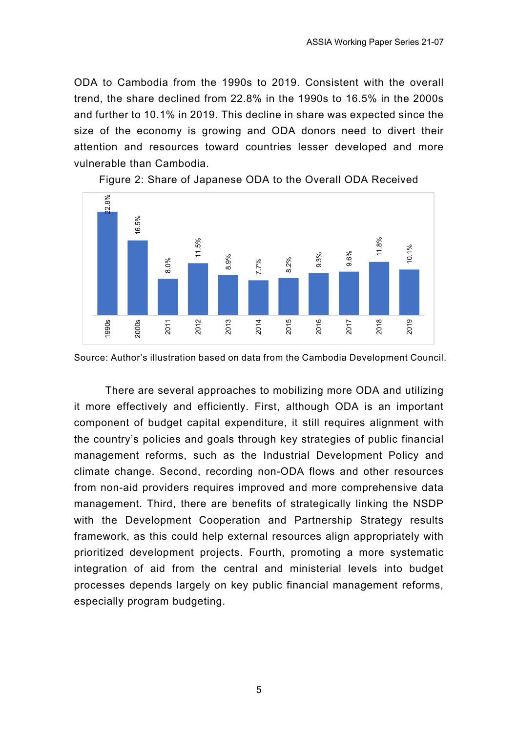ODA to Cambodia from the 1990s to 2019. Consistent with the overall trend, the share declined from 22.8% in the 1990s to 16.5% in the 2000s and further to 10.1% in 2019. This decline in share was expected since the size of the economy is growing and ODA donors need to divert their attention and resources toward countries lesser developed and more vulnerable than Cambodia.

<span id="page-7-0"></span>



There are several approaches to mobilizing more ODA and utilizing it more effectively and efficiently. First, although ODA is an important component of budget capital expenditure, it still requires alignment with the country's policies and goals through key strategies of public financial management reforms, such as the Industrial Development Policy and climate change. Second, recording non-ODA flows and other resources from non-aid providers requires improved and more comprehensive data management. Third, there are benefits of strategically linking the NSDP with the Development Cooperation and Partnership Strategy results framework, as this could help external resources align appropriately with prioritized development projects. Fourth, promoting a more systematic integration of aid from the central and ministerial levels into budget processes depends largely on key public financial management reforms, especially program budgeting.<br>
There are several approximation based<br>
There are several approximation based<br>
There are several approximation based<br>
There are several approximate component of budget capital<br>
the country's p

Source: Author's illustration based on data from the Cambodia Development Council.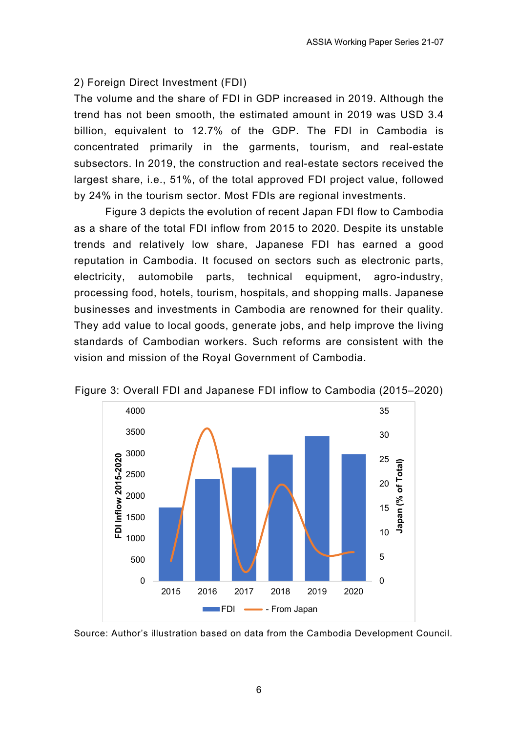## 2) Foreign Direct Investment (FDI)

The volume and the share of FDI in GDP increased in 2019. Although the trend has not been smooth, the estimated amount in 2019 was USD 3.4 billion, equivalent to 12.7% of the GDP. The FDI in Cambodia is concentrated primarily in the garments, tourism, and real-estate subsectors. In 2019, the construction and real-estate sectors received the largest share, i.e., 51%, of the total approved FDI project value, followed by 24% in the tourism sector. Most FDIs are regional investments.

Figure 3 depicts the evolution of recent Japan FDI flow to Cambodia as a share of the total FDI inflow from 2015 to 2020. Despite its unstable trends and relatively low share, Japanese FDI has earned a good reputation in Cambodia. It focused on sectors such as electronic parts, electricity, automobile parts, technical equipment, agro-industry, processing food, hotels, tourism, hospitals, and shopping malls. Japanese businesses and investments in Cambodia are renowned for their quality. They add value to local goods, generate jobs, and help improve the living standards of Cambodian workers. Such reforms are consistent with the vision and mission of the Royal Government of Cambodia.



<span id="page-8-0"></span>Figure 3: Overall FDI and Japanese FDI inflow to Cambodia (2015–2020)

#### Source: Author's illustration based on data from the Cambodia Development Council.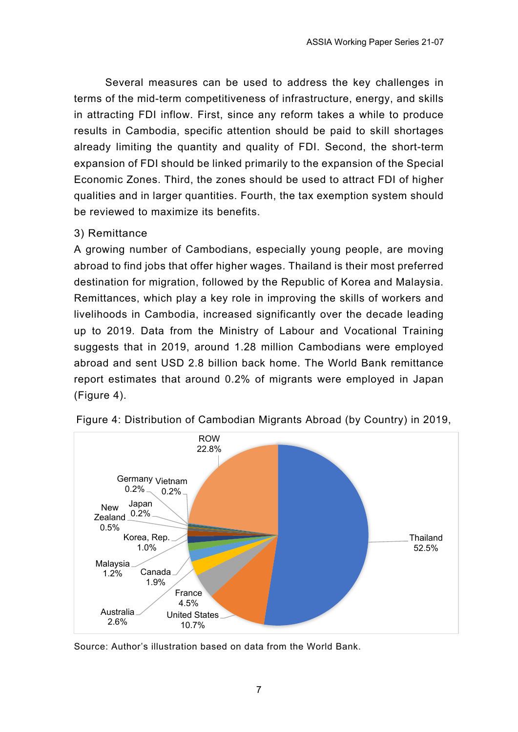Several measures can be used to address the key challenges in terms of the mid-term competitiveness of infrastructure, energy, and skills in attracting FDI inflow. First, since any reform takes a while to produce results in Cambodia, specific attention should be paid to skill shortages already limiting the quantity and quality of FDI. Second, the short-term expansion of FDI should be linked primarily to the expansion of the Special Economic Zones. Third, the zones should be used to attract FDI of higher qualities and in larger quantities. Fourth, the tax exemption system should be reviewed to maximize its benefits.

## 3) Remittance

A growing number of Cambodians, especially young people, are moving abroad to find jobs that offer higher wages. Thailand is their most preferred destination for migration, followed by the Republic of Korea and Malaysia. Remittances, which play a key role in improving the skills of workers and livelihoods in Cambodia, increased significantly over the decade leading up to 2019. Data from the Ministry of Labour and Vocational Training suggests that in 2019, around 1.28 million Cambodians were employed abroad and sent USD 2.8 billion back home. The World Bank remittance report estimates that around 0.2% of migrants were employed in Japan (Figure 4).



<span id="page-9-0"></span>Figure 4: Distribution of Cambodian Migrants Abroad (by Country) in 2019,

Source: Author's illustration based on data from the World Bank.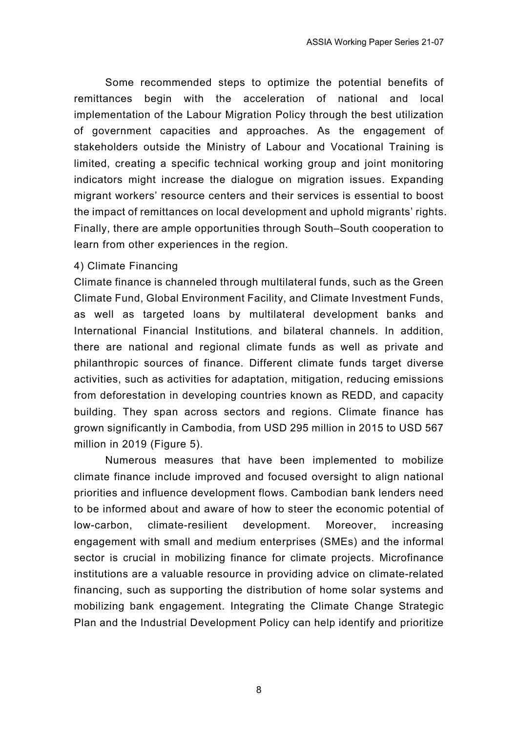Some recommended steps to optimize the potential benefits of remittances begin with the acceleration of national and local implementation of the Labour Migration Policy through the best utilization of government capacities and approaches. As the engagement of stakeholders outside the Ministry of Labour and Vocational Training is limited, creating a specific technical working group and joint monitoring indicators might increase the dialogue on migration issues. Expanding migrant workers' resource centers and their services is essential to boost the impact of remittances on local development and uphold migrants' rights. Finally, there are ample opportunities through South–South cooperation to learn from other experiences in the region.

#### 4) Climate Financing

Climate finance is channeled through multilateral funds, such as the Green Climate Fund, Global Environment Facility, and Climate Investment Funds, as well as targeted loans by multilateral development banks and International Financial Institutions, and bilateral channels. In addition, there are national and regional climate funds as well as private and philanthropic sources of finance. Different climate funds target diverse activities, such as activities for adaptation, mitigation, reducing emissions from deforestation in developing countries known as REDD, and capacity building. They span across sectors and regions. Climate finance has grown significantly in Cambodia, from USD 295 million in 2015 to USD 567 million in 2019 (Figure 5).

Numerous measures that have been implemented to mobilize climate finance include improved and focused oversight to align national priorities and influence development flows. Cambodian bank lenders need to be informed about and aware of how to steer the economic potential of low-carbon, climate-resilient development. Moreover, increasing engagement with small and medium enterprises (SMEs) and the informal sector is crucial in mobilizing finance for climate projects. Microfinance institutions are a valuable resource in providing advice on climate-related financing, such as supporting the distribution of home solar systems and mobilizing bank engagement. Integrating the Climate Change Strategic Plan and the Industrial Development Policy can help identify and prioritize

8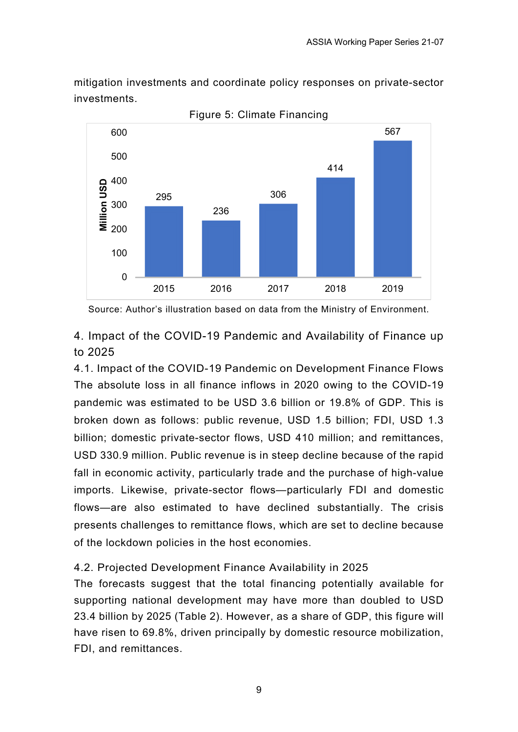mitigation investments and coordinate policy responses on private-sector investments.

<span id="page-11-3"></span>

Figure 5: Climate Financing

Source: Author's illustration based on data from the Ministry of Environment.

<span id="page-11-0"></span>4. Impact of the COVID-19 Pandemic and Availability of Finance up to 2025

<span id="page-11-1"></span>4.1. Impact of the COVID-19 Pandemic on Development Finance Flows The absolute loss in all finance inflows in 2020 owing to the COVID-19 pandemic was estimated to be USD 3.6 billion or 19.8% of GDP. This is broken down as follows: public revenue, USD 1.5 billion; FDI, USD 1.3 billion; domestic private-sector flows, USD 410 million; and remittances, USD 330.9 million. Public revenue is in steep decline because of the rapid fall in economic activity, particularly trade and the purchase of high-value imports. Likewise, private-sector flows—particularly FDI and domestic flows—are also estimated to have declined substantially. The crisis presents challenges to remittance flows, which are set to decline because of the lockdown policies in the host economies.

## <span id="page-11-2"></span>4.2. Projected Development Finance Availability in 2025

The forecasts suggest that the total financing potentially available for supporting national development may have more than doubled to USD 23.4 billion by 2025 (Table 2). However, as a share of GDP, this figure will have risen to 69.8%, driven principally by domestic resource mobilization, FDI, and remittances.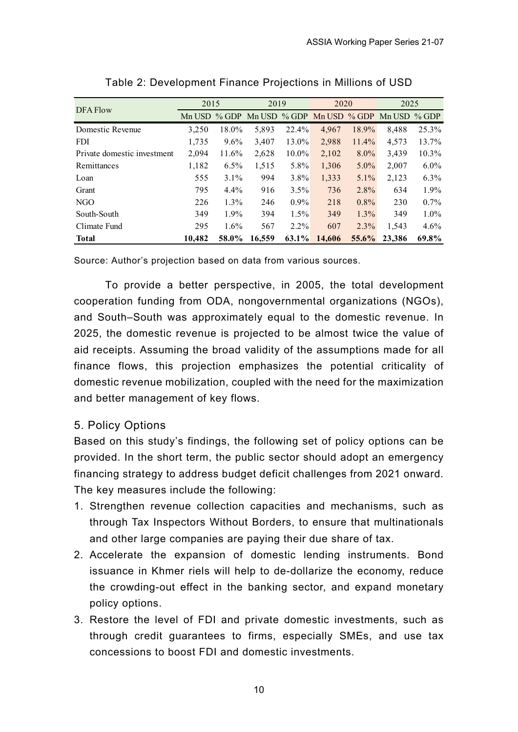<span id="page-12-1"></span>

|                             | 2015   |         | 2019   |          | 2020   |          | 2025   |         |
|-----------------------------|--------|---------|--------|----------|--------|----------|--------|---------|
| DFA Flow                    | Mn USD | $%$ GDP | Mn USD | $%$ GDP  | Mn USD | $%$ GDP  | Mn USD | $%$ GDP |
| Domestic Revenue            | 3,250  | 18.0%   | 5,893  | 22.4%    | 4,967  | 18.9%    | 8.488  | 25.3%   |
| <b>FDI</b>                  | 1,735  | $9.6\%$ | 3,407  | 13.0%    | 2,988  | $11.4\%$ | 4,573  | 13.7%   |
| Private domestic investment | 2.094  | 11.6%   | 2,628  | $10.0\%$ | 2,102  | $8.0\%$  | 3,439  | 10.3%   |
| Remittances                 | 1,182  | $6.5\%$ | 1,515  | 5.8%     | 1,306  | $5.0\%$  | 2,007  | $6.0\%$ |
| Loan                        | 555    | $3.1\%$ | 994    | 3.8%     | 1,333  | $5.1\%$  | 2,123  | 6.3%    |
| Grant                       | 795    | $4.4\%$ | 916    | $3.5\%$  | 736    | 2.8%     | 634    | $1.9\%$ |
| <b>NGO</b>                  | 226    | $1.3\%$ | 246    | $0.9\%$  | 218    | $0.8\%$  | 230    | $0.7\%$ |
| South-South                 | 349    | $1.9\%$ | 394    | $1.5\%$  | 349    | $1.3\%$  | 349    | $1.0\%$ |
| Climate Fund                | 295    | 1.6%    | 567    | $2.2\%$  | 607    | $2.3\%$  | 1,543  | $4.6\%$ |
| <b>Total</b>                | 10.482 | 58.0%   | 16.559 | $63.1\%$ | 14,606 | $55.6\%$ | 23,386 | 69.8%   |

| Table 2: Development Finance Projections in Millions of USD |
|-------------------------------------------------------------|
|-------------------------------------------------------------|

Source: Author's projection based on data from various sources.

To provide a better perspective, in 2005, the total development cooperation funding from ODA, nongovernmental organizations (NGOs), and South–South was approximately equal to the domestic revenue. In 2025, the domestic revenue is projected to be almost twice the value of aid receipts. Assuming the broad validity of the assumptions made for all finance flows, this projection emphasizes the potential criticality of domestic revenue mobilization, coupled with the need for the maximization and better management of key flows.

#### <span id="page-12-0"></span>5. Policy Options

Based on this study's findings, the following set of policy options can be provided. In the short term, the public sector should adopt an emergency financing strategy to address budget deficit challenges from 2021 onward. The key measures include the following:

- 1. Strengthen revenue collection capacities and mechanisms, such as through Tax Inspectors Without Borders, to ensure that multinationals and other large companies are paying their due share of tax.
- 2. Accelerate the expansion of domestic lending instruments. Bond issuance in Khmer riels will help to de-dollarize the economy, reduce the crowding-out effect in the banking sector, and expand monetary policy options.
- 3. Restore the level of FDI and private domestic investments, such as through credit guarantees to firms, especially SMEs, and use tax concessions to boost FDI and domestic investments.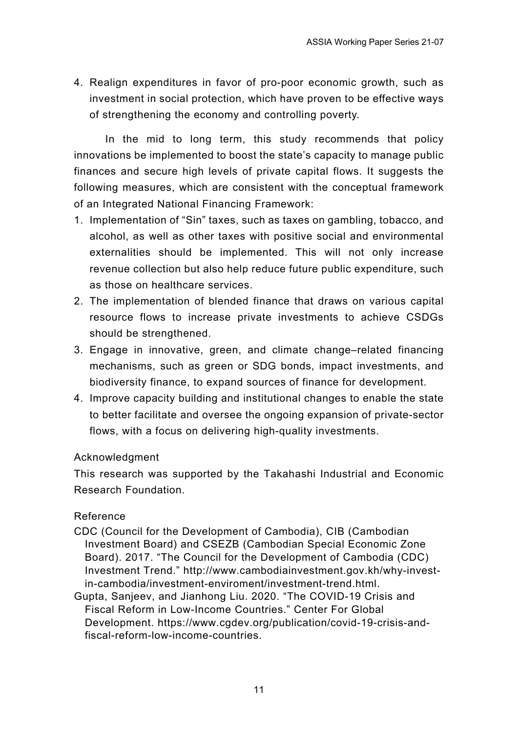4. Realign expenditures in favor of pro-poor economic growth, such as investment in social protection, which have proven to be effective ways of strengthening the economy and controlling poverty.

In the mid to long term, this study recommends that policy innovations be implemented to boost the state's capacity to manage public finances and secure high levels of private capital flows. It suggests the following measures, which are consistent with the conceptual framework of an Integrated National Financing Framework:

- 1. Implementation of "Sin" taxes, such as taxes on gambling, tobacco, and alcohol, as well as other taxes with positive social and environmental externalities should be implemented. This will not only increase revenue collection but also help reduce future public expenditure, such as those on healthcare services.
- 2. The implementation of blended finance that draws on various capital resource flows to increase private investments to achieve CSDGs should be strengthened.
- 3. Engage in innovative, green, and climate change–related financing mechanisms, such as green or SDG bonds, impact investments, and biodiversity finance, to expand sources of finance for development.
- 4. Improve capacity building and institutional changes to enable the state to better facilitate and oversee the ongoing expansion of private-sector flows, with a focus on delivering high-quality investments.

## <span id="page-13-0"></span>Acknowledgment

This research was supported by the Takahashi Industrial and Economic Research Foundation.

## <span id="page-13-1"></span>Reference

- CDC (Council for the Development of Cambodia), CIB (Cambodian Investment Board) and CSEZB (Cambodian Special Economic Zone Board). 2017. "The Council for the Development of Cambodia (CDC) Investment Trend." http://www.cambodiainvestment.gov.kh/why-investin-cambodia/investment-enviroment/investment-trend.html.
- Gupta, Sanjeev, and Jianhong Liu. 2020. "The COVID-19 Crisis and Fiscal Reform in Low-Income Countries." Center For Global Development. https://www.cgdev.org/publication/covid-19-crisis-andfiscal-reform-low-income-countries.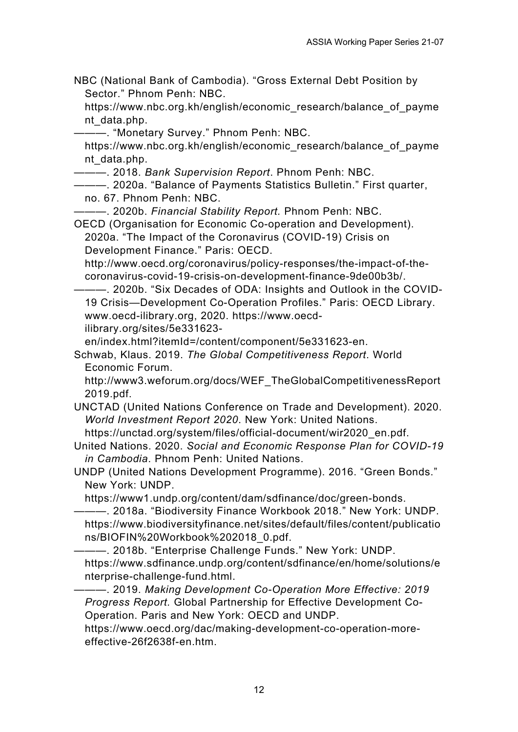NBC (National Bank of Cambodia). "Gross External Debt Position by Sector." Phnom Penh: NBC.

https://www.nbc.org.kh/english/economic\_research/balance\_of\_payme nt\_data.php.

———. "Monetary Survey." Phnom Penh: NBC.

https://www.nbc.org.kh/english/economic\_research/balance\_of\_payme nt\_data.php.

———. 2018. *Bank Supervision Report*. Phnom Penh: NBC.

———. 2020a. "Balance of Payments Statistics Bulletin." First quarter, no. 67. Phnom Penh: NBC.

———. 2020b. *Financial Stability Report.* Phnom Penh: NBC.

OECD (Organisation for Economic Co-operation and Development). 2020a. "The Impact of the Coronavirus (COVID-19) Crisis on Development Finance." Paris: OECD.

http://www.oecd.org/coronavirus/policy-responses/the-impact-of-thecoronavirus-covid-19-crisis-on-development-finance-9de00b3b/.

———. 2020b. "Six Decades of ODA: Insights and Outlook in the COVID-19 Crisis—Development Co-Operation Profiles." Paris: OECD Library. www.oecd-ilibrary.org, 2020. https://www.oecdilibrary.org/sites/5e331623-

en/index.html?itemId=/content/component/5e331623-en.

Schwab, Klaus. 2019. *The Global Competitiveness Report*. World Economic Forum.

http://www3.weforum.org/docs/WEF\_TheGlobalCompetitivenessReport 2019.pdf.

UNCTAD (United Nations Conference on Trade and Development). 2020. *World Investment Report 2020*. New York: United Nations.

https://unctad.org/system/files/official-document/wir2020\_en.pdf.

United Nations. 2020. *Social and Economic Response Plan for COVID-19 in Cambodia*. Phnom Penh: United Nations.

UNDP (United Nations Development Programme). 2016. "Green Bonds." New York: UNDP.

https://www1.undp.org/content/dam/sdfinance/doc/green-bonds.

———. 2018a. "Biodiversity Finance Workbook 2018." New York: UNDP. https://www.biodiversityfinance.net/sites/default/files/content/publicatio ns/BIOFIN%20Workbook%202018\_0.pdf.

———. 2018b. "Enterprise Challenge Funds." New York: UNDP. https://www.sdfinance.undp.org/content/sdfinance/en/home/solutions/e nterprise-challenge-fund.html.

———. 2019. *Making Development Co-Operation More Effective: 2019 Progress Report.* Global Partnership for Effective Development Co-Operation. Paris and New York: OECD and UNDP.

https://www.oecd.org/dac/making-development-co-operation-moreeffective-26f2638f-en.htm.